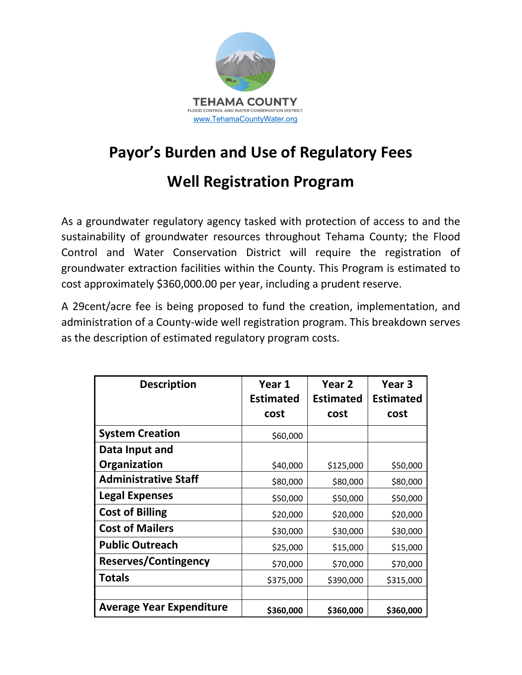

## **Payor's Burden and Use of Regulatory Fees**

## **Well Registration Program**

As a groundwater regulatory agency tasked with protection of access to and the sustainability of groundwater resources throughout Tehama County; the Flood Control and Water Conservation District will require the registration of groundwater extraction facilities within the County. This Program is estimated to cost approximately \$360,000.00 per year, including a prudent reserve.

A 29cent/acre fee is being proposed to fund the creation, implementation, and administration of a County-wide well registration program. This breakdown serves as the description of estimated regulatory program costs.

| <b>Description</b>              | Year 1           | Year 2           | Year 3           |
|---------------------------------|------------------|------------------|------------------|
|                                 | <b>Estimated</b> | <b>Estimated</b> | <b>Estimated</b> |
|                                 | cost             | cost             | cost             |
| <b>System Creation</b>          | \$60,000         |                  |                  |
| Data Input and                  |                  |                  |                  |
| Organization                    | \$40,000         | \$125,000        | \$50,000         |
| <b>Administrative Staff</b>     | \$80,000         | \$80,000         | \$80,000         |
| <b>Legal Expenses</b>           | \$50,000         | \$50,000         | \$50,000         |
| <b>Cost of Billing</b>          | \$20,000         | \$20,000         | \$20,000         |
| <b>Cost of Mailers</b>          | \$30,000         | \$30,000         | \$30,000         |
| <b>Public Outreach</b>          | \$25,000         | \$15,000         | \$15,000         |
| <b>Reserves/Contingency</b>     | \$70,000         | \$70,000         | \$70,000         |
| <b>Totals</b>                   | \$375,000        | \$390,000        | \$315,000        |
|                                 |                  |                  |                  |
| <b>Average Year Expenditure</b> | \$360,000        | \$360,000        | \$360,000        |